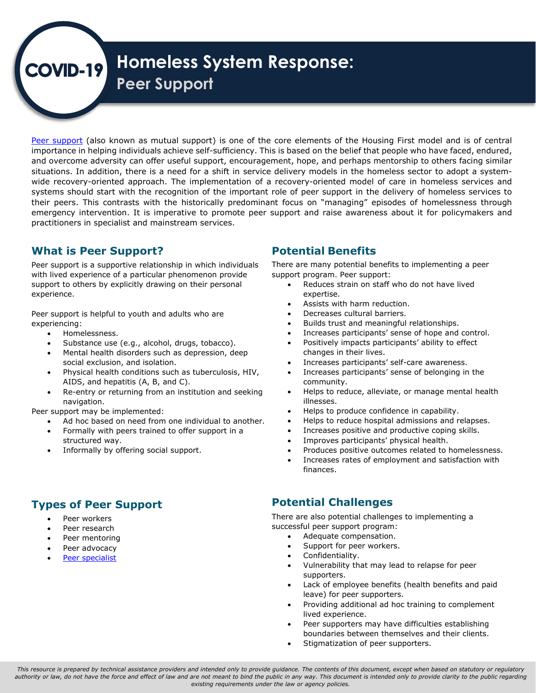# **Homeless System Response:**   $VID-19$ **Peer Support**

 importance in helping individuals achieve self-sufficiency. This is based on the belief that people who have faced, endured, situations. In addition, there is a need for a shift in service delivery models in the homeless sector to adopt a system-[Peer support](https://www.fsw.at/downloads/ueber-den-FSW/infos-fuer-organisationen/Peer_support_in_the_homelessness_sector_FEANTSA.pdf) (also known as mutual support) is one of the core elements of the Housing First model and is of central and overcome adversity can offer useful support, encouragement, hope, and perhaps mentorship to others facing similar wide recovery-oriented approach. The implementation of a recovery-oriented model of care in homeless services and systems should start with the recognition of the important role of peer support in the delivery of homeless services to their peers. This contrasts with the historically predominant focus on "managing" episodes of homelessness through emergency intervention. It is imperative to promote peer support and raise awareness about it for policymakers and practitioners in specialist and mainstream services.

## **What is Peer Support?**

 Peer support is a supportive relationship in which individuals with lived experience of a particular phenomenon provide support to others by explicitly drawing on their personal experience.

 Peer support is helpful to youth and adults who are experiencing:

- Homelessness.
- Substance use (e.g., alcohol, drugs, tobacco).
- • Mental health disorders such as depression, deep social exclusion, and isolation.
- • Physical health conditions such as tuberculosis, HIV, AIDS, and hepatitis (A, B, and C).
- • Re-entry or returning from an institution and seeking navigation.

Peer support may be implemented:

- Ad hoc based on need from one individual to another.
- • Formally with peers trained to offer support in a structured way.
- Informally by offering social support.

## **Types of Peer Support**

- Peer workers
- Peer research
- Peer mentoring
- Peer advocacy
- [Peer specialist](https://www.dclibrary.org/peeroutreach)

## **Potential Benefits**

 There are many potential benefits to implementing a peer support program. Peer support:

- • Reduces strain on staff who do not have lived expertise.
- Assists with harm reduction.
- Decreases cultural barriers.
- Builds trust and meaningful relationships.
- Increases participants' sense of hope and control.
- changes in their lives. Positively impacts participants' ability to effect
- Increases participants' self-care awareness.
- • Increases participants' sense of belonging in the community.
- • Helps to reduce, alleviate, or manage mental health illnesses.
- Helps to produce confidence in capability.
- Helps to reduce hospital admissions and relapses.
- Increases positive and productive coping skills.
- Improves participants' physical health.
- Produces positive outcomes related to homelessness.
- • Increases rates of employment and satisfaction with finances.

### **Potential Challenges**

 There are also potential challenges to implementing a successful peer support program:

- Adequate compensation.
- Support for peer workers.
- Confidentiality.
- • Vulnerability that may lead to relapse for peer supporters.
- • Lack of employee benefits (health benefits and paid leave) for peer supporters.
- • Providing additional ad hoc training to complement lived experience.
- • Peer supporters may have difficulties establishing boundaries between themselves and their clients.
- Stigmatization of peer supporters.